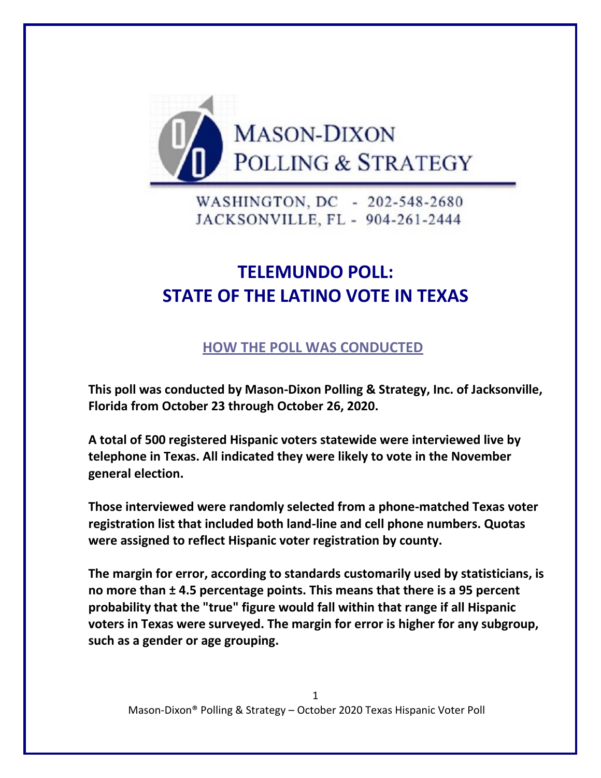

WASHINGTON, DC - 202-548-2680 JACKSONVILLE, FL - 904-261-2444

## **TELEMUNDO POLL: STATE OF THE LATINO VOTE IN TEXAS**

## **HOW THE POLL WAS CONDUCTED**

**This poll was conducted by Mason-Dixon Polling & Strategy, Inc. of Jacksonville, Florida from October 23 through October 26, 2020.** 

**A total of 500 registered Hispanic voters statewide were interviewed live by telephone in Texas. All indicated they were likely to vote in the November general election.**

**Those interviewed were randomly selected from a phone-matched Texas voter registration list that included both land-line and cell phone numbers. Quotas were assigned to reflect Hispanic voter registration by county.**

**The margin for error, according to standards customarily used by statisticians, is no more than ± 4.5 percentage points. This means that there is a 95 percent probability that the "true" figure would fall within that range if all Hispanic voters in Texas were surveyed. The margin for error is higher for any subgroup, such as a gender or age grouping.**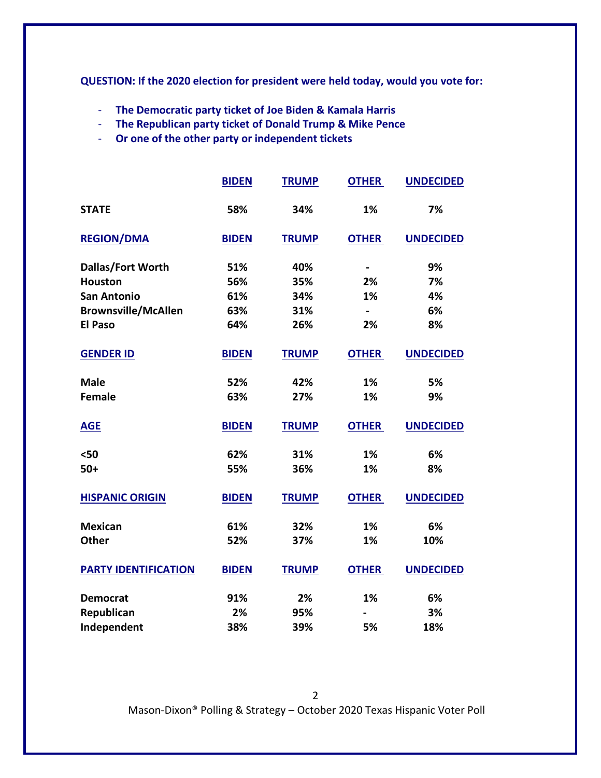**QUESTION: If the 2020 election for president were held today, would you vote for:**

- **The Democratic party ticket of Joe Biden & Kamala Harris**
- **The Republican party ticket of Donald Trump & Mike Pence**
- **Or one of the other party or independent tickets**

|                             | <b>BIDEN</b> | <b>TRUMP</b> | <b>OTHER</b>   | <b>UNDECIDED</b> |
|-----------------------------|--------------|--------------|----------------|------------------|
| <b>STATE</b>                | 58%          | 34%          | 1%             | 7%               |
| <b>REGION/DMA</b>           | <b>BIDEN</b> | <b>TRUMP</b> | <b>OTHER</b>   | <b>UNDECIDED</b> |
| <b>Dallas/Fort Worth</b>    | 51%          | 40%          | $\blacksquare$ | 9%               |
| <b>Houston</b>              | 56%          | 35%          | 2%             | 7%               |
| <b>San Antonio</b>          | 61%          | 34%          | 1%             | 4%               |
| <b>Brownsville/McAllen</b>  | 63%          | 31%          | $\blacksquare$ | 6%               |
| <b>El Paso</b>              | 64%          | 26%          | 2%             | 8%               |
| <b>GENDER ID</b>            | <b>BIDEN</b> | <b>TRUMP</b> | <b>OTHER</b>   | <b>UNDECIDED</b> |
| <b>Male</b>                 | 52%          | 42%          | 1%             | 5%               |
| <b>Female</b>               | 63%          | 27%          | 1%             | 9%               |
| <b>AGE</b>                  | <b>BIDEN</b> | <b>TRUMP</b> | <b>OTHER</b>   | <b>UNDECIDED</b> |
| $50$                        | 62%          | 31%          | 1%             | 6%               |
| $50+$                       | 55%          | 36%          | 1%             | 8%               |
| <b>HISPANIC ORIGIN</b>      | <b>BIDEN</b> | <b>TRUMP</b> | <b>OTHER</b>   | <b>UNDECIDED</b> |
| <b>Mexican</b>              | 61%          | 32%          | 1%             | 6%               |
| <b>Other</b>                | 52%          | 37%          | 1%             | 10%              |
| <b>PARTY IDENTIFICATION</b> | <b>BIDEN</b> | <b>TRUMP</b> | <b>OTHER</b>   | <b>UNDECIDED</b> |
| <b>Democrat</b>             | 91%          | 2%           | 1%             | 6%               |
| Republican                  | 2%           | 95%          |                | 3%               |
| Independent                 | 38%          | 39%          | 5%             | 18%              |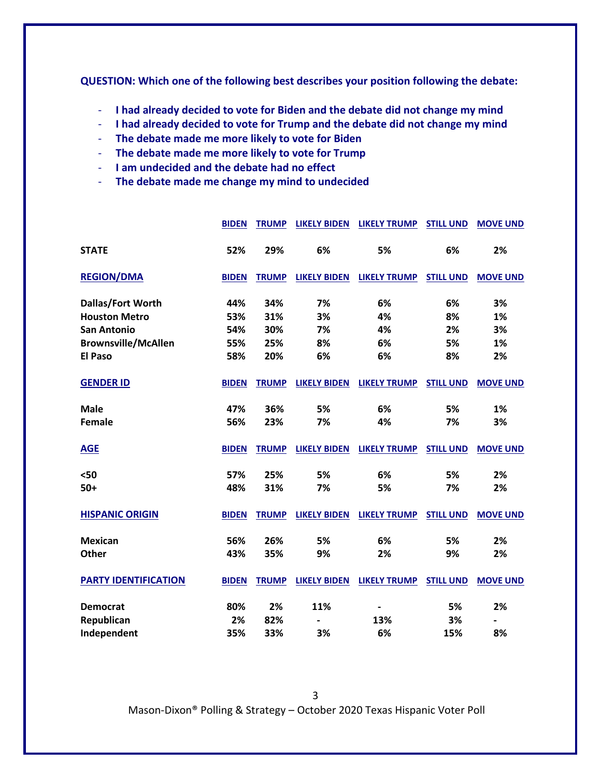**QUESTION: Which one of the following best describes your position following the debate:**

- **I had already decided to vote for Biden and the debate did not change my mind**
- **I had already decided to vote for Trump and the debate did not change my mind**
- **The debate made me more likely to vote for Biden**
- **The debate made me more likely to vote for Trump**
- **I am undecided and the debate had no effect**
- **The debate made me change my mind to undecided**

|                             | <b>BIDEN</b> | <b>TRUMP</b> | <b>LIKELY BIDEN</b> | <b>LIKELY TRUMP</b> | <b>STILL UND</b> | <b>MOVE UND</b>              |
|-----------------------------|--------------|--------------|---------------------|---------------------|------------------|------------------------------|
| <b>STATE</b>                | 52%          | 29%          | 6%                  | 5%                  | 6%               | 2%                           |
| <b>REGION/DMA</b>           | <b>BIDEN</b> | <b>TRUMP</b> | <b>LIKELY BIDEN</b> | <b>LIKELY TRUMP</b> | <b>STILL UND</b> | <b>MOVE UND</b>              |
| Dallas/Fort Worth           | 44%          | 34%          | 7%                  | 6%                  | 6%               | 3%                           |
| <b>Houston Metro</b>        | 53%          | 31%          | 3%                  | 4%                  | 8%               | 1%                           |
| <b>San Antonio</b>          | 54%          | 30%          | 7%                  | 4%                  | 2%               | 3%                           |
| <b>Brownsville/McAllen</b>  | 55%          | 25%          | 8%                  | 6%                  | 5%               | 1%                           |
| <b>El Paso</b>              | 58%          | 20%          | 6%                  | 6%                  | 8%               | 2%                           |
| <b>GENDER ID</b>            | <b>BIDEN</b> | <b>TRUMP</b> | <b>LIKELY BIDEN</b> | <b>LIKELY TRUMP</b> | <b>STILL UND</b> | <b>MOVE UND</b>              |
| <b>Male</b>                 | 47%          | 36%          | 5%                  | 6%                  | 5%               | 1%                           |
| <b>Female</b>               | 56%          | 23%          | 7%                  | 4%                  | 7%               | 3%                           |
| <b>AGE</b>                  | <b>BIDEN</b> | <b>TRUMP</b> | <b>LIKELY BIDEN</b> | <b>LIKELY TRUMP</b> | <b>STILL UND</b> | <b>MOVE UND</b>              |
| $50$                        | 57%          | 25%          | 5%                  | 6%                  | 5%               | 2%                           |
| $50+$                       | 48%          | 31%          | 7%                  | 5%                  | 7%               | 2%                           |
| <b>HISPANIC ORIGIN</b>      | <b>BIDEN</b> | <b>TRUMP</b> | <b>LIKELY BIDEN</b> | <b>LIKELY TRUMP</b> | <b>STILL UND</b> | <b>MOVE UND</b>              |
| <b>Mexican</b>              | 56%          | 26%          | 5%                  | 6%                  | 5%               | 2%                           |
| Other                       | 43%          | 35%          | 9%                  | 2%                  | 9%               | 2%                           |
| <b>PARTY IDENTIFICATION</b> | <b>BIDEN</b> | <b>TRUMP</b> | <b>LIKELY BIDEN</b> | <b>LIKELY TRUMP</b> | <b>STILL UND</b> | <b>MOVE UND</b>              |
| <b>Democrat</b>             | 80%          | 2%           | 11%                 |                     | 5%               | 2%                           |
| Republican                  | 2%           | 82%          |                     | 13%                 | 3%               | $\qquad \qquad \blacksquare$ |
| Independent                 | 35%          | 33%          | 3%                  | 6%                  | 15%              | 8%                           |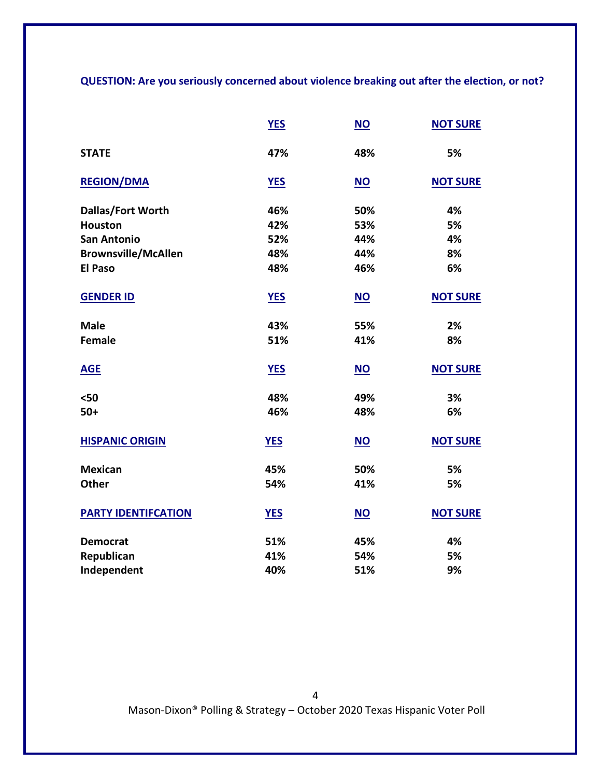**QUESTION: Are you seriously concerned about violence breaking out after the election, or not?**

|                            | <b>YES</b> | $\underline{\mathsf{NO}}$ | <b>NOT SURE</b> |
|----------------------------|------------|---------------------------|-----------------|
| <b>STATE</b>               | 47%        | 48%                       | 5%              |
| <b>REGION/DMA</b>          | <b>YES</b> | <b>NO</b>                 | <b>NOT SURE</b> |
| Dallas/Fort Worth          | 46%        | 50%                       | 4%              |
| <b>Houston</b>             | 42%        | 53%                       | 5%              |
| <b>San Antonio</b>         | 52%        | 44%                       | 4%              |
| <b>Brownsville/McAllen</b> | 48%        | 44%                       | 8%              |
| <b>El Paso</b>             | 48%        | 46%                       | 6%              |
| <b>GENDER ID</b>           | <b>YES</b> | $\underline{\mathsf{NO}}$ | <b>NOT SURE</b> |
| <b>Male</b>                | 43%        | 55%                       | 2%              |
| <b>Female</b>              | 51%        | 41%                       | 8%              |
| <b>AGE</b>                 | <b>YES</b> | $NO$                      | <b>NOT SURE</b> |
| $50$                       | 48%        | 49%                       | 3%              |
| $50+$                      | 46%        | 48%                       | 6%              |
| <b>HISPANIC ORIGIN</b>     | <b>YES</b> | $NO$                      | <b>NOT SURE</b> |
| <b>Mexican</b>             | 45%        | 50%                       | 5%              |
| <b>Other</b>               | 54%        | 41%                       | 5%              |
| <b>PARTY IDENTIFCATION</b> | <b>YES</b> | $NO$                      | <b>NOT SURE</b> |
| <b>Democrat</b>            | 51%        | 45%                       | 4%              |
| Republican                 | 41%        | 54%                       | 5%              |
| Independent                | 40%        | 51%                       | 9%              |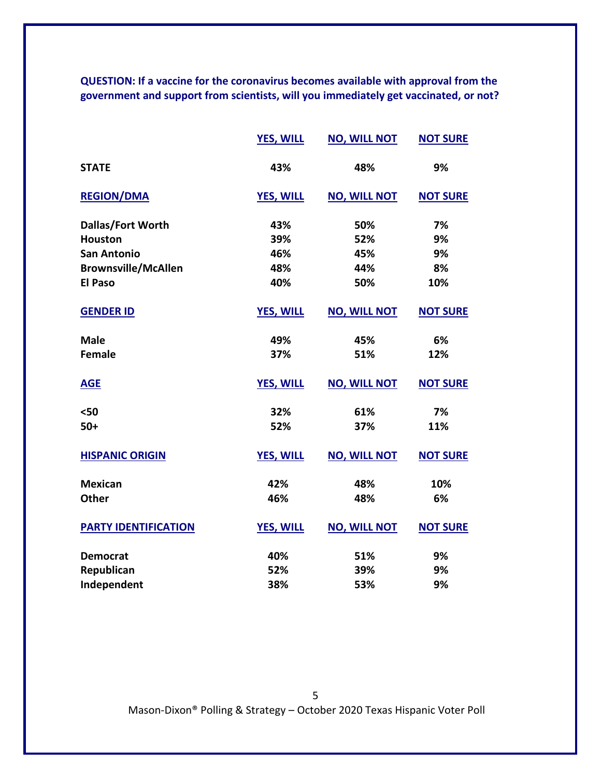**QUESTION: If a vaccine for the coronavirus becomes available with approval from the government and support from scientists, will you immediately get vaccinated, or not?** 

|                             | <b>YES, WILL</b> | <b>NO, WILL NOT</b> | <b>NOT SURE</b> |
|-----------------------------|------------------|---------------------|-----------------|
| <b>STATE</b>                | 43%              | 48%                 | 9%              |
| <b>REGION/DMA</b>           | <b>YES, WILL</b> | <b>NO, WILL NOT</b> | <b>NOT SURE</b> |
| Dallas/Fort Worth           | 43%              | 50%                 | 7%              |
| <b>Houston</b>              | 39%              | 52%                 | 9%              |
| <b>San Antonio</b>          | 46%              | 45%                 | 9%              |
| <b>Brownsville/McAllen</b>  | 48%              | 44%                 | 8%              |
| <b>El Paso</b>              | 40%              | 50%                 | 10%             |
| <b>GENDER ID</b>            | <b>YES, WILL</b> | <b>NO, WILL NOT</b> | <b>NOT SURE</b> |
| <b>Male</b>                 | 49%              | 45%                 | 6%              |
| <b>Female</b>               | 37%              | 51%                 | 12%             |
| <b>AGE</b>                  | <b>YES, WILL</b> | <b>NO, WILL NOT</b> | <b>NOT SURE</b> |
| $50$                        | 32%              | 61%                 | 7%              |
| $50+$                       | 52%              | 37%                 | 11%             |
| <b>HISPANIC ORIGIN</b>      | <b>YES, WILL</b> | <b>NO, WILL NOT</b> | <b>NOT SURE</b> |
| <b>Mexican</b>              | 42%              | 48%                 | 10%             |
| <b>Other</b>                | 46%              | 48%                 | 6%              |
| <b>PARTY IDENTIFICATION</b> | <b>YES, WILL</b> | <b>NO, WILL NOT</b> | <b>NOT SURE</b> |
| <b>Democrat</b>             | 40%              | 51%                 | 9%              |
| Republican                  | 52%              | 39%                 | 9%              |
| Independent                 | 38%              | 53%                 | 9%              |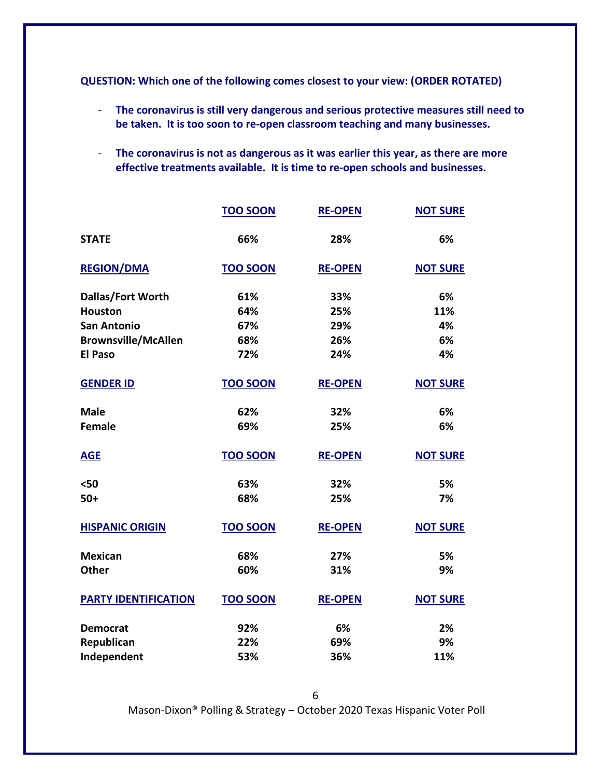**QUESTION: Which one of the following comes closest to your view: (ORDER ROTATED)**

- **The coronavirus is still very dangerous and serious protective measures still need to be taken. It is too soon to re-open classroom teaching and many businesses.**
- **The coronavirus is not as dangerous as it was earlier this year, as there are more effective treatments available. It is time to re-open schools and businesses.**

|                             | <b>TOO SOON</b> | <b>RE-OPEN</b> | <b>NOT SURE</b> |
|-----------------------------|-----------------|----------------|-----------------|
| <b>STATE</b>                | 66%             | 28%            | 6%              |
| <b>REGION/DMA</b>           | <b>TOO SOON</b> | <b>RE-OPEN</b> | <b>NOT SURE</b> |
| Dallas/Fort Worth           | 61%             | 33%            | 6%              |
| <b>Houston</b>              | 64%             | 25%            | 11%             |
| <b>San Antonio</b>          | 67%             | 29%            | 4%              |
| <b>Brownsville/McAllen</b>  | 68%             | 26%            | 6%              |
| <b>El Paso</b>              | 72%             | 24%            | 4%              |
| <b>GENDER ID</b>            | <b>TOO SOON</b> | <b>RE-OPEN</b> | <b>NOT SURE</b> |
| <b>Male</b>                 | 62%             | 32%            | 6%              |
| <b>Female</b>               | 69%             | 25%            | 6%              |
| <b>AGE</b>                  | <b>TOO SOON</b> | <b>RE-OPEN</b> | <b>NOT SURE</b> |
| $50$                        | 63%             | 32%            | 5%              |
| $50+$                       | 68%             | 25%            | 7%              |
| <b>HISPANIC ORIGIN</b>      | <b>TOO SOON</b> | <b>RE-OPEN</b> | <b>NOT SURE</b> |
| <b>Mexican</b>              | 68%             | 27%            | 5%              |
| <b>Other</b>                | 60%             | 31%            | 9%              |
| <b>PARTY IDENTIFICATION</b> | <b>TOO SOON</b> | <b>RE-OPEN</b> | <b>NOT SURE</b> |
| <b>Democrat</b>             | 92%             | 6%             | 2%              |
| Republican                  | 22%             | 69%            | 9%              |
| Independent                 | 53%             | 36%            | 11%             |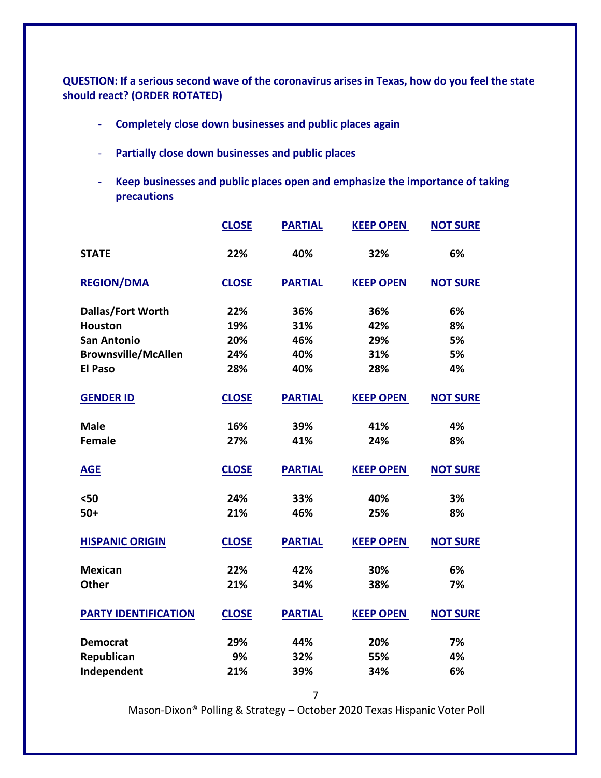**QUESTION: If a serious second wave of the coronavirus arises in Texas, how do you feel the state should react? (ORDER ROTATED)**

- **Completely close down businesses and public places again**
- **Partially close down businesses and public places**
- **Keep businesses and public places open and emphasize the importance of taking precautions**

|                             | <b>CLOSE</b> | <b>PARTIAL</b> | <b>KEEP OPEN</b> | <b>NOT SURE</b> |
|-----------------------------|--------------|----------------|------------------|-----------------|
| <b>STATE</b>                | 22%          | 40%            | 32%              | 6%              |
| <b>REGION/DMA</b>           | <b>CLOSE</b> | <b>PARTIAL</b> | <b>KEEP OPEN</b> | <b>NOT SURE</b> |
| <b>Dallas/Fort Worth</b>    | 22%          | 36%            | 36%              | 6%              |
| <b>Houston</b>              | 19%          | 31%            | 42%              | 8%              |
| <b>San Antonio</b>          | 20%          | 46%            | 29%              | 5%              |
| <b>Brownsville/McAllen</b>  | 24%          | 40%            | 31%              | 5%              |
| <b>El Paso</b>              | 28%          | 40%            | 28%              | 4%              |
| <b>GENDER ID</b>            | <b>CLOSE</b> | <b>PARTIAL</b> | <b>KEEP OPEN</b> | <b>NOT SURE</b> |
| <b>Male</b>                 | 16%          | 39%            | 41%              | 4%              |
| <b>Female</b>               | 27%          | 41%            | 24%              | 8%              |
| <b>AGE</b>                  | <b>CLOSE</b> | <b>PARTIAL</b> | <b>KEEP OPEN</b> | <b>NOT SURE</b> |
| $50$                        | 24%          | 33%            | 40%              | 3%              |
| $50+$                       | 21%          | 46%            | 25%              | 8%              |
| <b>HISPANIC ORIGIN</b>      | <b>CLOSE</b> | <b>PARTIAL</b> | <b>KEEP OPEN</b> | <b>NOT SURE</b> |
| <b>Mexican</b>              | 22%          | 42%            | 30%              | 6%              |
| <b>Other</b>                | 21%          | 34%            | 38%              | 7%              |
| <b>PARTY IDENTIFICATION</b> | <b>CLOSE</b> | <b>PARTIAL</b> | <b>KEEP OPEN</b> | <b>NOT SURE</b> |
| <b>Democrat</b>             | 29%          | 44%            | 20%              | 7%              |
| Republican                  | 9%           | 32%            | 55%              | 4%              |
| Independent                 | 21%          | 39%            | 34%              | 6%              |
|                             |              |                |                  |                 |

7